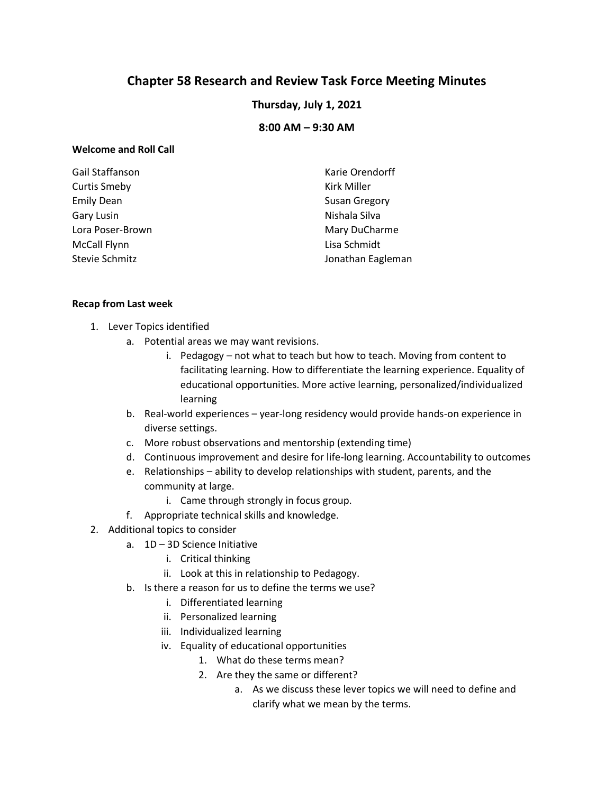# **Chapter 58 Research and Review Task Force Meeting Minutes**

**Thursday, July 1, 2021**

**8:00 AM – 9:30 AM**

### **Welcome and Roll Call**

| Gail Staffanson     | Karie Orendorff      |
|---------------------|----------------------|
| <b>Curtis Smeby</b> | Kirk Miller          |
| <b>Emily Dean</b>   | <b>Susan Gregory</b> |
| Gary Lusin          | Nishala Silva        |
| Lora Poser-Brown    | Mary DuCharme        |
| <b>McCall Flynn</b> | Lisa Schmidt         |
| Stevie Schmitz      | Jonathan Eagleman    |

#### **Recap from Last week**

- 1. Lever Topics identified
	- a. Potential areas we may want revisions.
		- i. Pedagogy not what to teach but how to teach. Moving from content to facilitating learning. How to differentiate the learning experience. Equality of educational opportunities. More active learning, personalized/individualized learning
	- b. Real-world experiences year-long residency would provide hands-on experience in diverse settings.
	- c. More robust observations and mentorship (extending time)
	- d. Continuous improvement and desire for life-long learning. Accountability to outcomes
	- e. Relationships ability to develop relationships with student, parents, and the community at large.
		- i. Came through strongly in focus group.
	- f. Appropriate technical skills and knowledge.
- 2. Additional topics to consider
	- a. 1D 3D Science Initiative
		- i. Critical thinking
		- ii. Look at this in relationship to Pedagogy.
	- b. Is there a reason for us to define the terms we use?
		- i. Differentiated learning
		- ii. Personalized learning
		- iii. Individualized learning
		- iv. Equality of educational opportunities
			- 1. What do these terms mean?
			- 2. Are they the same or different?
				- a. As we discuss these lever topics we will need to define and clarify what we mean by the terms.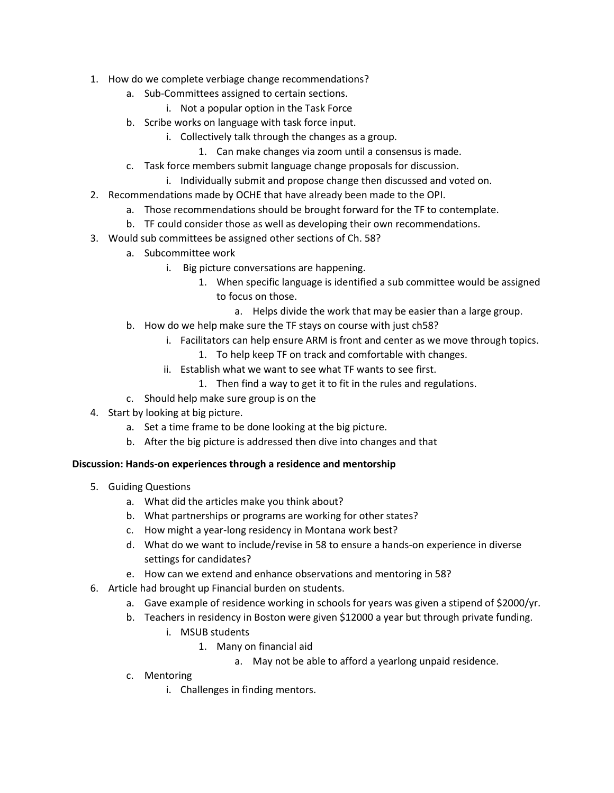- 1. How do we complete verbiage change recommendations?
	- a. Sub-Committees assigned to certain sections.
		- i. Not a popular option in the Task Force
	- b. Scribe works on language with task force input.
		- i. Collectively talk through the changes as a group.
			- 1. Can make changes via zoom until a consensus is made.
	- c. Task force members submit language change proposals for discussion.
		- i. Individually submit and propose change then discussed and voted on.
- 2. Recommendations made by OCHE that have already been made to the OPI.
	- a. Those recommendations should be brought forward for the TF to contemplate.
	- b. TF could consider those as well as developing their own recommendations.
- 3. Would sub committees be assigned other sections of Ch. 58?
	- a. Subcommittee work
		- i. Big picture conversations are happening.
			- 1. When specific language is identified a sub committee would be assigned to focus on those.
				- a. Helps divide the work that may be easier than a large group.
	- b. How do we help make sure the TF stays on course with just ch58?
		- i. Facilitators can help ensure ARM is front and center as we move through topics.
			- 1. To help keep TF on track and comfortable with changes.
		- ii. Establish what we want to see what TF wants to see first.
			- 1. Then find a way to get it to fit in the rules and regulations.
	- c. Should help make sure group is on the
- 4. Start by looking at big picture.
	- a. Set a time frame to be done looking at the big picture.
	- b. After the big picture is addressed then dive into changes and that

## **Discussion: Hands-on experiences through a residence and mentorship**

- 5. Guiding Questions
	- a. What did the articles make you think about?
	- b. What partnerships or programs are working for other states?
	- c. How might a year-long residency in Montana work best?
	- d. What do we want to include/revise in 58 to ensure a hands-on experience in diverse settings for candidates?
	- e. How can we extend and enhance observations and mentoring in 58?
- 6. Article had brought up Financial burden on students.
	- a. Gave example of residence working in schools for years was given a stipend of \$2000/yr.
	- b. Teachers in residency in Boston were given \$12000 a year but through private funding.
		- i. MSUB students
			- 1. Many on financial aid
				- a. May not be able to afford a yearlong unpaid residence.
	- c. Mentoring
		- i. Challenges in finding mentors.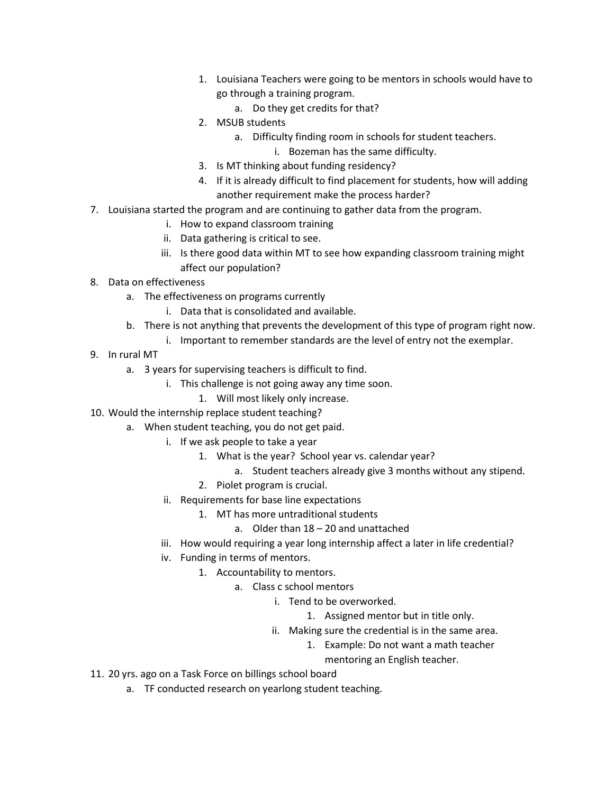- 1. Louisiana Teachers were going to be mentors in schools would have to go through a training program.
	- a. Do they get credits for that?
- 2. MSUB students
	- a. Difficulty finding room in schools for student teachers.
		- i. Bozeman has the same difficulty.
- 3. Is MT thinking about funding residency?
- 4. If it is already difficult to find placement for students, how will adding another requirement make the process harder?
- 7. Louisiana started the program and are continuing to gather data from the program.
	- i. How to expand classroom training
	- ii. Data gathering is critical to see.
	- iii. Is there good data within MT to see how expanding classroom training might affect our population?
- 8. Data on effectiveness
	- a. The effectiveness on programs currently
		- i. Data that is consolidated and available.
	- b. There is not anything that prevents the development of this type of program right now.
		- i. Important to remember standards are the level of entry not the exemplar.
- 9. In rural MT
	- a. 3 years for supervising teachers is difficult to find.
		- i. This challenge is not going away any time soon.
			- 1. Will most likely only increase.
- 10. Would the internship replace student teaching?
	- a. When student teaching, you do not get paid.
		- i. If we ask people to take a year
			- 1. What is the year? School year vs. calendar year?
				- a. Student teachers already give 3 months without any stipend.
			- 2. Piolet program is crucial.
		- ii. Requirements for base line expectations
			- 1. MT has more untraditional students
				- a. Older than 18 20 and unattached
		- iii. How would requiring a year long internship affect a later in life credential?
		- iv. Funding in terms of mentors.
			- 1. Accountability to mentors.
				- a. Class c school mentors
					- i. Tend to be overworked.
						- 1. Assigned mentor but in title only.
					- ii. Making sure the credential is in the same area.
						- 1. Example: Do not want a math teacher
							- mentoring an English teacher.
- 11. 20 yrs. ago on a Task Force on billings school board
	- a. TF conducted research on yearlong student teaching.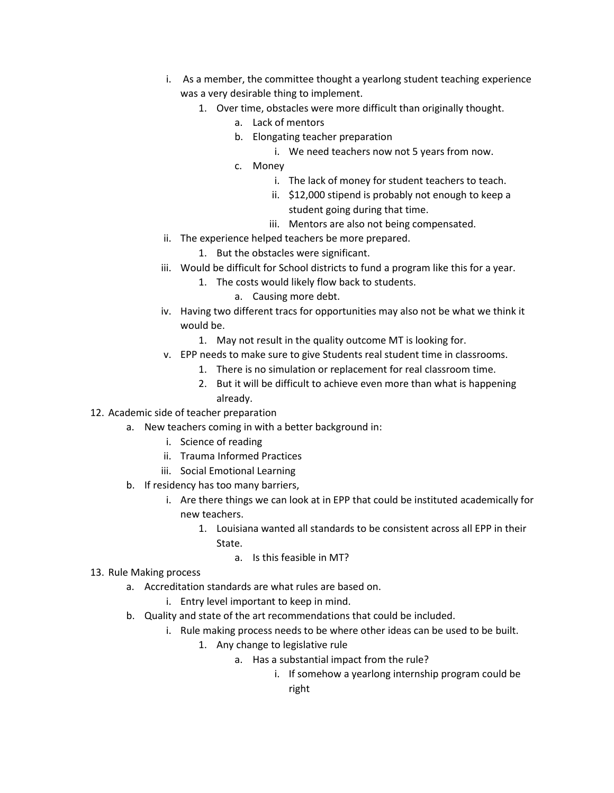- i. As a member, the committee thought a yearlong student teaching experience was a very desirable thing to implement.
	- 1. Over time, obstacles were more difficult than originally thought.
		- a. Lack of mentors
		- b. Elongating teacher preparation
			- i. We need teachers now not 5 years from now.
		- c. Money
			- i. The lack of money for student teachers to teach.
			- ii. \$12,000 stipend is probably not enough to keep a student going during that time.
			- iii. Mentors are also not being compensated.
- ii. The experience helped teachers be more prepared.
	- 1. But the obstacles were significant.
- iii. Would be difficult for School districts to fund a program like this for a year.
	- 1. The costs would likely flow back to students.
		- a. Causing more debt.
- iv. Having two different tracs for opportunities may also not be what we think it would be.
	- 1. May not result in the quality outcome MT is looking for.
- v. EPP needs to make sure to give Students real student time in classrooms.
	- 1. There is no simulation or replacement for real classroom time.
	- 2. But it will be difficult to achieve even more than what is happening already.
- 12. Academic side of teacher preparation
	- a. New teachers coming in with a better background in:
		- i. Science of reading
		- ii. Trauma Informed Practices
		- iii. Social Emotional Learning
	- b. If residency has too many barriers,
		- i. Are there things we can look at in EPP that could be instituted academically for new teachers.
			- 1. Louisiana wanted all standards to be consistent across all EPP in their State.
				- a. Is this feasible in MT?
- 13. Rule Making process
	- a. Accreditation standards are what rules are based on.
		- i. Entry level important to keep in mind.
	- b. Quality and state of the art recommendations that could be included.
		- i. Rule making process needs to be where other ideas can be used to be built.
			- 1. Any change to legislative rule
				- a. Has a substantial impact from the rule?
					- i. If somehow a yearlong internship program could be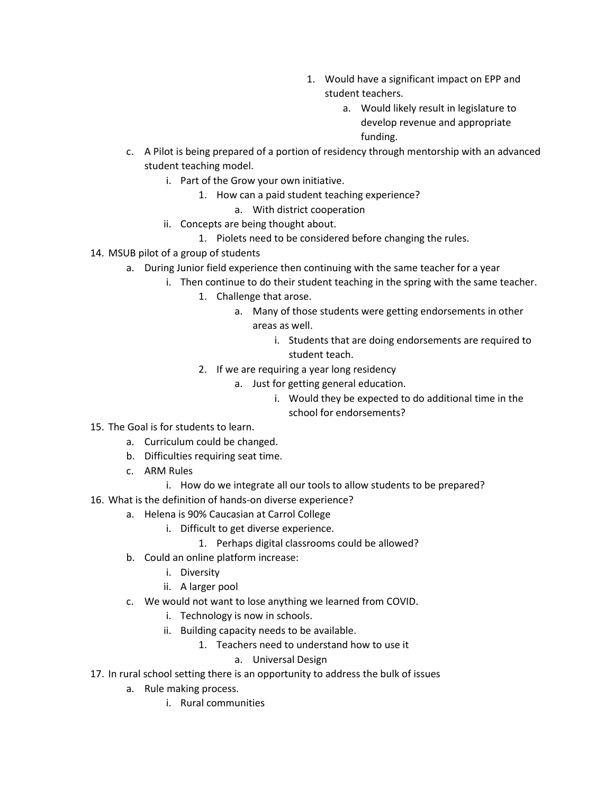- 1. Would have a significant impact on EPP and student teachers.
	- a. Would likely result in legislature to develop revenue and appropriate funding.
- c. A Pilot is being prepared of a portion of residency through mentorship with an advanced student teaching model.
	- i. Part of the Grow your own initiative.
		- 1. How can a paid student teaching experience?
			- a. With district cooperation
	- ii. Concepts are being thought about.
		- 1. Piolets need to be considered before changing the rules.
- 14. MSUB pilot of a group of students
	- a. During Junior field experience then continuing with the same teacher for a year
		- i. Then continue to do their student teaching in the spring with the same teacher.
			- 1. Challenge that arose.
				- a. Many of those students were getting endorsements in other areas as well.
					- i. Students that are doing endorsements are required to student teach.
			- 2. If we are requiring a year long residency
				- a. Just for getting general education.
					- i. Would they be expected to do additional time in the school for endorsements?
- 15. The Goal is for students to learn.
	- a. Curriculum could be changed.
	- b. Difficulties requiring seat time.
	- c. ARM Rules
		- i. How do we integrate all our tools to allow students to be prepared?
- 16. What is the definition of hands-on diverse experience?
	- a. Helena is 90% Caucasian at Carrol College
		- i. Difficult to get diverse experience.
			- 1. Perhaps digital classrooms could be allowed?
	- b. Could an online platform increase:
		- i. Diversity
		- ii. A larger pool
	- c. We would not want to lose anything we learned from COVID.
		- i. Technology is now in schools.
		- ii. Building capacity needs to be available.
			- 1. Teachers need to understand how to use it
				- a. Universal Design
- 17. In rural school setting there is an opportunity to address the bulk of issues
	- a. Rule making process.
		- i. Rural communities